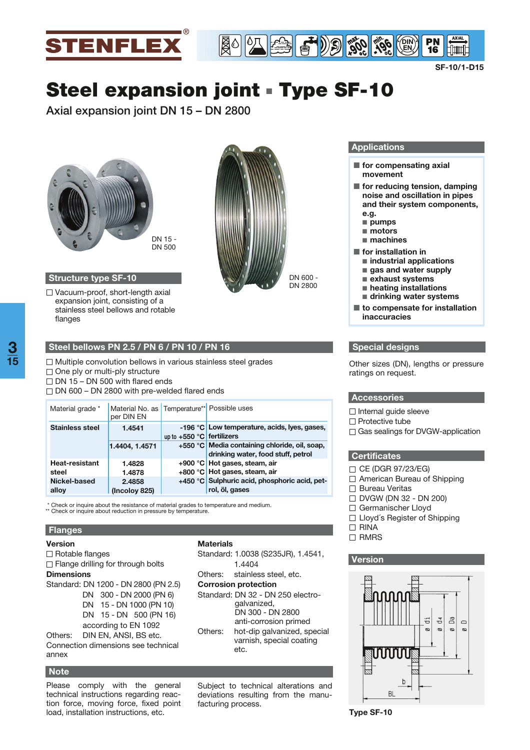

**SF-10/1-D15**

Elunul

# **Steel expansion joint** - **Type SF-10**

**Axial expansion joint DN 15 – DN 2800** 



## **Structure type SF-10**

 $\Box$  Vacuum-proof, short-length axial expansion joint, consisting of a stainless steel bellows and rotable flanges

 $\Box$  One ply or multi-ply structure  $\Box$  DN 15 – DN 500 with flared ends

**Steel bellows PN 2.5 / PN 6 / PN 10 / PN 16**

 $\Box$  DN 600 – DN 2800 with pre-welded flared ends

per DIN EN

**1.4541 1.4404, 1.4571 1.4828 1.4878 2.4858 (Incoloy 825)**

 $\Box$  Multiple convolution bellows in various stainless steel grades

Material grade \* | Material No. as | Temperature\*\* | Possible uses

\* Check or inquire about the resistance of material grades to temperature and medium. \*\* Check or inquire about reduction in pressure by temperature.



#### **Applications**

**900 ° -196 min**

 $\blacksquare$  for compensating axial **movement**

° **DIN EN**

- for reducing tension, damping **noise and oscillation in pipes and their system components, e.g.** 
	- - **pumps**
	- motors
	- machines
- for installation in
	- industrial applications
	- gas and water supply
	- - **exhaust systems**
	- - **heating installations**
- drinking water systems ■ to compensate for installation **inaccuracies**

## **Special designs**

Other sizes (DN), lengths or pressure ratings on request.

#### **Accessories**

 $\Box$  Internal guide sleeve

- $\Box$  Protective tube
- □ Gas sealings for DVGW-application

#### **Certificates**

- $\Box$  CE (DGR 97/23/EG)
- □ American Bureau of Shipping
- □ Bureau Veritas
- $\Box$  DVGW (DN 32 DN 200)
- Germanischer Lloyd
- □ Lloyd's Register of Shipping
- $\Box$  RINA
- □ RMRS

#### **Version**



 $\Box$  Rotable flanges  $\Box$  Flange drilling for through bolts **Dimensions** Standard: DN 1200 - DN 2800 (PN 2.5) DN 300 - DN 2000 (PN 6) DN 15 - DN 1000 (PN 10) DN 15 - DN 500 (PN 16) according to EN 1092 Others: DIN EN, ANSI, BS etc.

Connection dimensions see technical annex

### **Note**

**Flanges Version**

**Stainless steel**

**Heat-resistant** 

**steel Nickel-based alloy**

Please comply with the general technical instructions regarding reaction force, moving force, fixed point load, installation instructions, etc.

## **Materials**

**+900 °C Hot gases, steam, air +800 °C Hot gases, steam, air**

**rol, öl, gases**

**up to +550 °C fertilizers**

Standard: 1.0038 (S235JR), 1.4541, 1.4404 Others: stainless steel, etc. **Corrosion protection** Standard: DN 32 - DN 250 electrogalvanized, DN 300 - DN 2800 anti-corrosion primed Others: hot-dip galvanized, special varnish, special coating etc.

 **-196 °C Low temperature, acids, lyes, gases,** 

**+550 °C Media containing chloride, oil, soap,** 

**drinking water, food stuff, petrol**

**+450 °C Sulphuric acid, phosphoric acid, pet-**

Subject to technical alterations and deviations resulting from the manufacturing process.

**Type SF-10**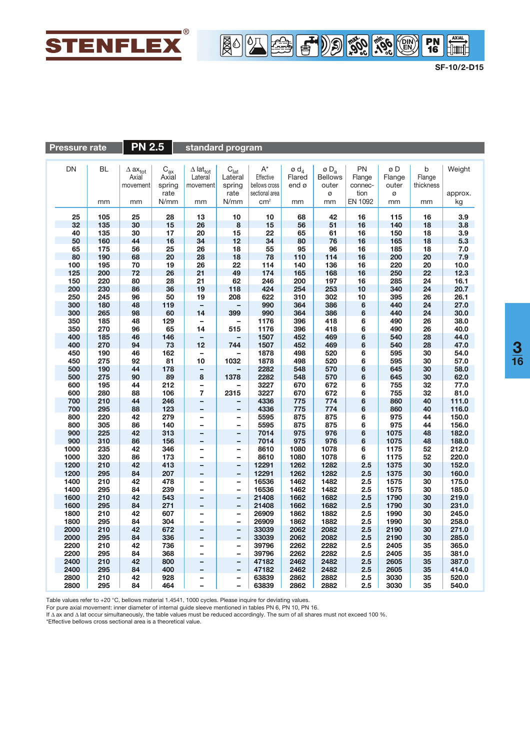

**SF-10/2-D15**

 $\begin{tabular}{|c|c|} \hline & \multicolumn{1}{|c|}{AMAL} \\ \hline \multicolumn{1}{|c|}{\hline & \multicolumn{1}{|c|}{\hline & \multicolumn{1}{|c|}{\hline & \multicolumn{1}{|c|}{\hline & \multicolumn{1}{|c|}{\hline & \multicolumn{1}{|c|}{\hline & \multicolumn{1}{|c|}{\hline & \multicolumn{1}{|c|}{\hline & \multicolumn{1}{|c|}{\hline & \multicolumn{1}{|c|}{\hline & \multicolumn{1}{|c|}{\hline & \multicolumn{1}{|c|}{\hline & \multicolumn{1$ 

**900 ° -196 min**

° **DIN EN**

| <b>PN 2.5</b><br><b>Pressure rate</b> |            |                          | standard program                    |                                |                                      |                 |                            |                           |            |              |           |                |
|---------------------------------------|------------|--------------------------|-------------------------------------|--------------------------------|--------------------------------------|-----------------|----------------------------|---------------------------|------------|--------------|-----------|----------------|
|                                       |            |                          |                                     |                                |                                      |                 |                            |                           |            |              |           |                |
| DN                                    | BL         | $\Delta$ ax $_{\rm tot}$ |                                     | $\Delta$ lat $_{\rm tot}$      |                                      | $A^*$           | $\emptyset$ d <sub>4</sub> | ø $\mathsf{D}_\mathsf{a}$ | PN         | øD           | b         | Weight         |
|                                       |            | Axial                    | $\mathsf{C}_{\mathsf{ax}}$<br>Axial | Lateral                        | $\mathrm{C}_{\text{lat}}$<br>Lateral | Effective       | Flared                     | <b>Bellows</b>            | Flange     | Flange       | Flange    |                |
|                                       |            | movement                 | spring                              | movement                       | spring                               | bellows cross   | end ø                      | outer                     | connec-    | outer        | thickness |                |
|                                       |            |                          | rate                                |                                | rate                                 | sectional area  |                            | Ø                         | tion       | ø            |           | approx.        |
|                                       | mm         | mm                       | N/mm                                | mm                             | N/mm                                 | cm <sup>2</sup> | mm                         | mm                        | EN 1092    | mm           | mm        | kg             |
|                                       |            |                          |                                     |                                |                                      |                 |                            |                           |            |              |           |                |
| 25                                    | 105        | 25                       | 28                                  | 13                             | 10                                   | 10              | 68                         | 42                        | 16         | 115          | 16        | 3.9            |
| 32                                    | 135        | 30                       | 15                                  | 26                             | 8                                    | 15              | 56                         | 51                        | 16         | 140          | 18        | 3.8            |
| 40                                    | 135        | 30                       | 17                                  | 20                             | 15                                   | 22              | 65                         | 61                        | 16         | 150          | 18        | 3.9            |
| 50                                    | 160        | 44                       | 16                                  | 34                             | 12                                   | 34              | 80                         | 76                        | 16         | 165          | 18        | 5.3            |
| 65                                    | 175        | 56                       | 25                                  | 26                             | 18                                   | 55              | 95                         | 96                        | 16         | 185          | 18        | 7.0            |
| 80                                    | 190        | 68                       | 20                                  | 28                             | 18                                   | 78              | 110                        | 114                       | 16         | 200          | 20        | 7.9            |
| 100                                   | 195        | 70                       | 19                                  | 26                             | 22                                   | 114             | 140                        | 136                       | 16         | 220          | 20        | 10.0           |
| 125                                   | 200        | 72                       | 26                                  | 21                             | 49                                   | 174             | 165                        | 168                       | 16         | 250          | 22        | 12.3           |
| 150                                   | 220        | 80                       | 28                                  | 21                             | 62                                   | 246             | 200                        | 197                       | 16         | 285          | 24        | 16.1           |
| 200                                   | 230        | 86                       | 36                                  | 19                             | 118                                  | 424             | 254                        | 253                       | 10         | 340          | 24        | 20.7           |
| 250                                   | 245        | 96                       | 50                                  | 19                             | 208                                  | 622             | 310                        | 302                       | 10         | 395          | 26        | 26.1           |
| 300                                   | 180        | 48                       | 119                                 | $\overline{\phantom{a}}$<br>14 |                                      | 990             | 364                        | 386                       | 6          | 440<br>440   | 24        | 27.0           |
| 300                                   | 265        | 98                       | 60                                  | -                              | 399                                  | 990<br>1176     | 364                        | 386                       | 6          |              | 24        | 30.0<br>38.0   |
| 350<br>350                            | 185<br>270 | 48<br>96                 | 129<br>65                           | 14                             | -<br>515                             | 1176            | 396<br>396                 | 418<br>418                | 6<br>6     | 490<br>490   | 26<br>26  | 40.0           |
| 400                                   | 185        | 46                       | 146                                 |                                |                                      | 1507            | 452                        | 469                       | 6          | 540          | 28        | 44.0           |
| 400                                   | 270        | 94                       | 73                                  | 12                             | 744                                  | 1507            | 452                        | 469                       | 6          | 540          | 28        | 47.0           |
| 450                                   | 190        | 46                       | 162                                 | $\qquad \qquad -$              |                                      | 1878            | 498                        | 520                       | 6          | 595          | 30        | 54.0           |
| 450                                   | 275        | 92                       | 81                                  | 10                             | 1032                                 | 1878            | 498                        | 520                       | 6          | 595          | 30        | 57.0           |
| 500                                   | 190        | 44                       | 178                                 | -                              |                                      | 2282            | 548                        | 570                       | 6          | 645          | 30        | 58.0           |
| 500                                   | 275        | 90                       | 89                                  | 8                              | 1378                                 | 2282            | 548                        | 570                       | 6          | 645          | 30        | 62.0           |
| 600                                   | 195        | 44                       | 212                                 | -                              |                                      | 3227            | 670                        | 672                       | 6          | 755          | 32        | 77.0           |
| 600                                   | 280        | 88                       | 106                                 | $\overline{7}$                 | 2315                                 | 3227            | 670                        | 672                       | 6          | 755          | 32        | 81.0           |
| 700                                   | 210        | 44                       | 246                                 | -                              | -                                    | 4336            | 775                        | 774                       | 6          | 860          | 40        | 111.0          |
| 700                                   | 295        | 88                       | 123                                 |                                | -                                    | 4336            | 775                        | 774                       | 6          | 860          | 40        | 116.0          |
| 800                                   | 220        | 42                       | 279                                 | $\overline{\phantom{0}}$       | -                                    | 5595            | 875                        | 875                       | 6          | 975          | 44        | 150.0          |
| 800                                   | 305        | 86                       | 140                                 | -                              | $\overline{\phantom{0}}$             | 5595            | 875                        | 875                       | 6          | 975          | 44        | 156.0          |
| 900                                   | 225        | 42                       | 313                                 |                                | -                                    | 7014            | 975                        | 976                       | 6          | 1075         | 48        | 182.0          |
| 900                                   | 310        | 86                       | 156                                 |                                | -                                    | 7014            | 975                        | 976                       | 6          | 1075         | 48        | 188.0          |
| 1000                                  | 235        | 42                       | 346                                 | -                              | -                                    | 8610            | 1080                       | 1078                      | 6          | 1175         | 52        | 212.0          |
| 1000                                  | 320        | 86                       | 173                                 | L.                             | $\overline{\phantom{0}}$             | 8610            | 1080                       | 1078                      | 6          | 1175         | 52        | 220.0          |
| 1200                                  | 210        | 42                       | 413                                 | -                              | -                                    | 12291           | 1262                       | 1282                      | 2.5        | 1375         | 30        | 152.0          |
| 1200                                  | 295<br>210 | 84<br>42                 | 207                                 |                                | -                                    | 12291           | 1262                       | 1282                      | 2.5<br>2.5 | 1375         | 30        | 160.0<br>175.0 |
| 1400<br>1400                          | 295        | 84                       | 478<br>239                          | $\overline{\phantom{0}}$<br>-  | $\qquad \qquad -$                    | 16536<br>16536  | 1462<br>1462               | 1482<br>1482              | 2.5        | 1575<br>1575 | 30<br>30  | 185.0          |
| 1600                                  | 210        | 42                       | 543                                 | $\overline{\phantom{0}}$       | -<br>$\overline{\phantom{0}}$        | 21408           | 1662                       | 1682                      | 2.5        | 1790         | 30        | 219.0          |
| 1600                                  | 295        | 84                       | 271                                 | -                              | -                                    | 21408           | 1662                       | 1682                      | 2.5        | 1790         | 30        | 231.0          |
| 1800                                  | 210        | 42                       | 607                                 | $\overline{\phantom{0}}$       | $\overline{\phantom{0}}$             | 26909           | 1862                       | 1882                      | 2.5        | 1990         | 30        | 245.0          |
| 1800                                  | 295        | 84                       | 304                                 | -                              | $\qquad \qquad -$                    | 26909           | 1862                       | 1882                      | 2.5        | 1990         | 30        | 258.0          |
| 2000                                  | 210        | 42                       | 672                                 | $\overline{\phantom{0}}$       | $\qquad \qquad -$                    | 33039           | 2062                       | 2082                      | 2.5        | 2190         | 30        | 271.0          |
| 2000                                  | 295        | 84                       | 336                                 |                                | $\overline{\phantom{0}}$             | 33039           | 2062                       | 2082                      | 2.5        | 2190         | 30        | 285.0          |
| 2200                                  | 210        | 42                       | 736                                 | -                              | $\qquad \qquad -$                    | 39796           | 2262                       | 2282                      | 2.5        | 2405         | 35        | 365.0          |
| 2200                                  | 295        | 84                       | 368                                 |                                | -                                    | 39796           | 2262                       | 2282                      | 2.5        | 2405         | 35        | 381.0          |
| 2400                                  | 210        | 42                       | 800                                 | -                              | $\overline{\phantom{0}}$             | 47182           | 2462                       | 2482                      | 2.5        | 2605         | 35        | 387.0          |
| 2400                                  | 295        | 84                       | 400                                 |                                | -                                    | 47182           | 2462                       | 2482                      | 2.5        | 2605         | 35        | 414.0          |
| 2800                                  | 210        | 42                       | 928                                 | -                              | -                                    | 63839           | 2862                       | 2882                      | 2.5        | 3030         | 35        | 520.0          |
| 2800                                  | 295        | 84                       | 464                                 | ۳                              | $\overline{\phantom{0}}$             | 63839           | 2862                       | 2882                      | 2.5        | 3030         | 35        | 540.0          |

Table values refer to +20 °C, bellows material 1.4541, 1000 cycles. Please inquire for deviating values.

For pure axial movement: inner diameter of internal guide sleeve mentioned in tables PN 6, PN 10, PN 16.<br>If ∆ ax and ∆ lat occur simultaneously, the table values must be reduced accordingly. The sum of all shares must not

\*Effective bellows cross sectional area is a theoretical value.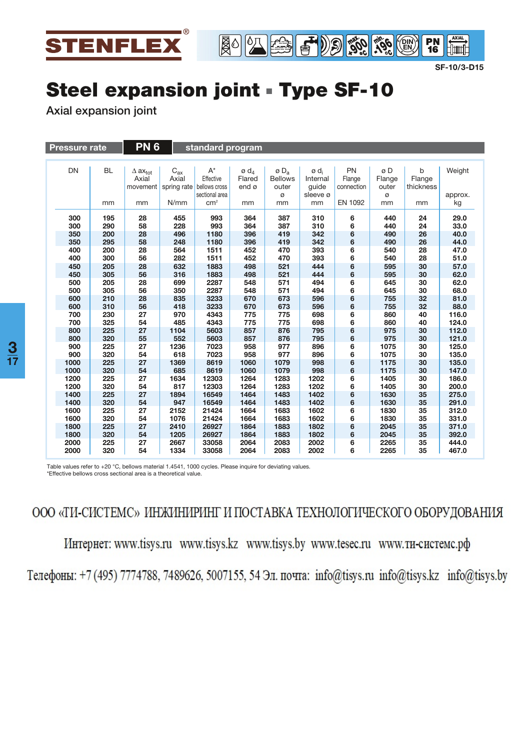

**SF-10/3-D15**

**AXIAL dining** 

**° -196 min**

° **DIN EN**

**PN**<br>16

## **Steel expansion joint** - **Type SF-10**

**Axial expansion joint**

| <b>Pressure rate</b> |                   | <b>PN6</b><br>standard program |                                                 |                                     |                                                                   |                                               |                                                       |                                                   |                            |                       |                          |               |
|----------------------|-------------------|--------------------------------|-------------------------------------------------|-------------------------------------|-------------------------------------------------------------------|-----------------------------------------------|-------------------------------------------------------|---------------------------------------------------|----------------------------|-----------------------|--------------------------|---------------|
|                      |                   |                                |                                                 |                                     |                                                                   |                                               |                                                       |                                                   |                            |                       |                          |               |
|                      | <b>DN</b>         | <b>BL</b>                      | $\Delta$ ax <sub>tot</sub><br>Axial<br>movement | $\mathsf{C}_{\textup{ax}}$<br>Axial | $A^*$<br>Effective<br>spring rate bellows cross<br>sectional area | $\emptyset$ d <sub>4</sub><br>Flared<br>end ø | $\emptyset$ D <sub>a</sub><br><b>Bellows</b><br>outer | ø d <sub>i</sub><br>Internal<br>guide<br>sleeve ø | PN<br>Flange<br>connection | øD<br>Flange<br>outer | b<br>Flange<br>thickness | Weight        |
|                      |                   | mm                             | mm                                              | N/mm                                | cm <sup>2</sup>                                                   | mm                                            | Ø<br>mm                                               | mm                                                | EN 1092                    | Ø<br>mm               | mm                       | approx.<br>kg |
|                      | 300               | 195                            | 28                                              | 455                                 | 993                                                               | 364                                           | 387                                                   | 310                                               | 6                          | 440                   | 24                       | 29.0          |
|                      | 300               | 290                            | 58                                              | 228                                 | 993                                                               | 364                                           | 387                                                   | 310                                               | 6                          | 440                   | 24                       | 33.0          |
|                      | 350               | 200<br>295                     | 28<br>58                                        | 496<br>248                          | 1180<br>1180                                                      | 396<br>396                                    | 419<br>419                                            | 342<br>342                                        | 6<br>6                     | 490<br>490            | 26<br>26                 | 40.0<br>44.0  |
|                      | 350<br>400<br>400 | 200<br>300                     | 28<br>56                                        | 564<br>282                          | 1511<br>1511                                                      | 452<br>452                                    | 470<br>470                                            | 393<br>393                                        | 6<br>6                     | 540<br>540            | 28<br>28                 | 47.0<br>51.0  |
|                      | 450               | 205                            | 28                                              | 632                                 | 1883                                                              | 498                                           | 521                                                   | 444                                               | 6                          | 595                   | 30                       | 57.0          |
|                      | 450               | 305                            | 56                                              | 316                                 | 1883                                                              | 498                                           | 521                                                   | 444                                               | 6                          | 595                   | 30                       | 62.0          |
|                      | 500               | 205                            | 28                                              | 699                                 | 2287                                                              | 548                                           | 571                                                   | 494                                               | 6                          | 645                   | 30                       | 62.0          |
|                      | 500               | 305                            | 56                                              | 350                                 | 2287                                                              | 548                                           | 571                                                   | 494                                               | 6                          | 645                   | 30                       | 68.0          |
|                      | 600               | 210                            | 28                                              | 835                                 | 3233                                                              | 670                                           | 673                                                   | 596                                               | 6                          | 755                   | 32                       | 81.0          |
|                      | 600               | 310                            | 56                                              | 418                                 | 3233                                                              | 670                                           | 673                                                   | 596                                               | 6                          | 755                   | 32                       | 88.0          |
|                      | 700               | 230                            | 27                                              | 970                                 | 4343                                                              | 775                                           | 775                                                   | 698                                               | 6                          | 860                   | 40                       | 116.0         |
|                      | 700               | 325                            | 54                                              | 485                                 | 4343                                                              | 775                                           | 775                                                   | 698                                               | 6                          | 860                   | 40                       | 124.0         |
|                      | 800               | 225                            | 27                                              | 1104                                | 5603                                                              | 857                                           | 876                                                   | 795                                               | 6                          | 975                   | 30                       | 112.0         |
|                      | 800               | 320                            | 55                                              | 552                                 | 5603                                                              | 857                                           | 876                                                   | 795                                               | 6                          | 975                   | 30                       | 121.0         |
|                      | 900               | 225                            | 27                                              | 1236                                | 7023                                                              | 958                                           | 977                                                   | 896                                               | 6                          | 1075                  | 30                       | 125.0         |
|                      | 900               | 320                            | 54                                              | 618                                 | 7023                                                              | 958                                           | 977                                                   | 896                                               | 6                          | 1075                  | 30                       | 135.0         |
|                      | 1000              | 225                            | 27                                              | 1369                                | 8619                                                              | 1060                                          | 1079                                                  | 998                                               | 6                          | 1175                  | 30                       | 135.0         |
|                      | 1000              | 320                            | 54                                              | 685                                 | 8619                                                              | 1060                                          | 1079                                                  | 998                                               | 6                          | 1175                  | 30                       | 147.0         |
|                      | 1200              | 225                            | 27                                              | 1634                                | 12303                                                             | 1264                                          | 1283                                                  | 1202                                              | 6                          | 1405                  | 30                       | 186.0         |
|                      | 1200              | 320                            | 54                                              | 817                                 | 12303                                                             | 1264                                          | 1283                                                  | 1202                                              | 6                          | 1405                  | 30                       | 200.0         |
|                      | 1400              | 225                            | 27                                              | 1894                                | 16549                                                             | 1464                                          | 1483                                                  | 1402                                              | 6                          | 1630                  | 35                       | 275.0         |
|                      | 1400              | 320                            | 54                                              | 947                                 | 16549                                                             | 1464                                          | 1483                                                  | 1402                                              | 6                          | 1630                  | 35                       | 291.0         |
|                      | 1600              | 225                            | 27                                              | 2152                                | 21424                                                             | 1664                                          | 1683                                                  | 1602                                              | 6                          | 1830                  | 35                       | 312.0         |
|                      | 1600              | 320                            | 54                                              | 1076                                | 21424                                                             | 1664                                          | 1683                                                  | 1602                                              | 6                          | 1830                  | 35                       | 331.0         |
|                      | 1800              | 225                            | 27                                              | 2410                                | 26927                                                             | 1864                                          | 1883                                                  | 1802                                              | 6                          | 2045                  | 35                       | 371.0         |
|                      | 1800              | 320                            | 54                                              | 1205                                | 26927                                                             | 1864                                          | 1883                                                  | 1802                                              | 6                          | 2045                  | 35                       | 392.0         |
|                      | 2000              | 225                            | 27                                              | 2667                                | 33058                                                             | 2064                                          | 2083                                                  | 2002                                              | 6                          | 2265                  | 35                       | 444.0         |
|                      | 2000              | 320                            | 54                                              | 1334                                | 33058                                                             | 2064                                          | 2083                                                  | 2002                                              | 6                          | 2265                  | 35                       | 467.0         |

Table values refer to +20 °C, bellows material 1.4541, 1000 cycles. Please inquire for deviating values. \*Effective bellows cross sectional area is a theoretical value.

ООО «ТИ-СИСТЕМС» ИНЖИНИРИНГ И ПОСТАВКА ТЕХНОЛОГИЧЕСКОГО ОБОРУДОВАНИЯ

Интернет: www.tisys.ru www.tisys.kz www.tisys.by www.tesec.ru www.ти-системс.рф

Телефоны: +7 (495) 7774788, 7489626, 5007155, 54 Эл. почта: info@tisys.ru info@tisys.kz info@tisys.by